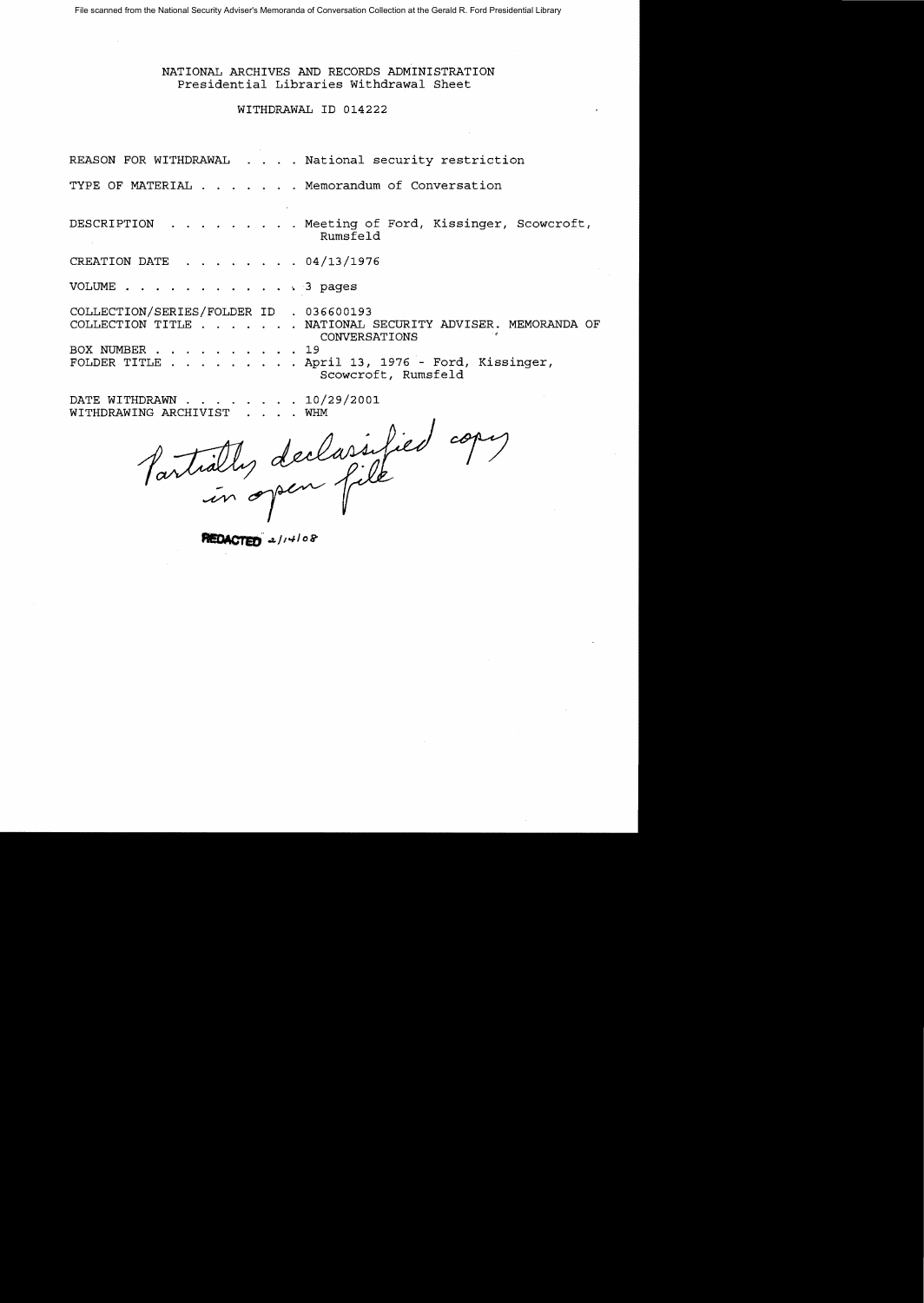# NATIONAL ARCHIVES AND RECORDS ADMINISTRATION Presidential Libraries Withdrawal Sheet

# WITHDRAWAL ID 014222

REASON FOR WITHDRAWAL . . . . National security restriction

TYPE OF MATERIAL . . . . . . Memorandum of Conversation

DESCRIPTION . . . . . . . . Meeting of Ford, Kissinger, Scowcroft, Rumsfeld

CREATION DATE  $\ldots$  . . . . . 04/13/1976

VOLUME . . . . . . . . . . . . 3 pages

COLLECTION/SERIES/FOLDER ID . 036600193 COLLECTION TITLE . . . . . . NATIONAL SECURITY ADVISER. MEMORANDA OF CONVERSATIONS BOX NUMBER . . . . . . . . . 19 FOLDER TITLE  $\ldots$  . . . . . . April 13, 1976 - Ford, Kissinger, Scowcroft, Rumsfeld

DATE WITHDRAWN . . . . . . . 10/29/2001

WITHDRAWING ARCHIVIST .... WHM<br>Partially declassified copy

PIEDACTER 2/14/08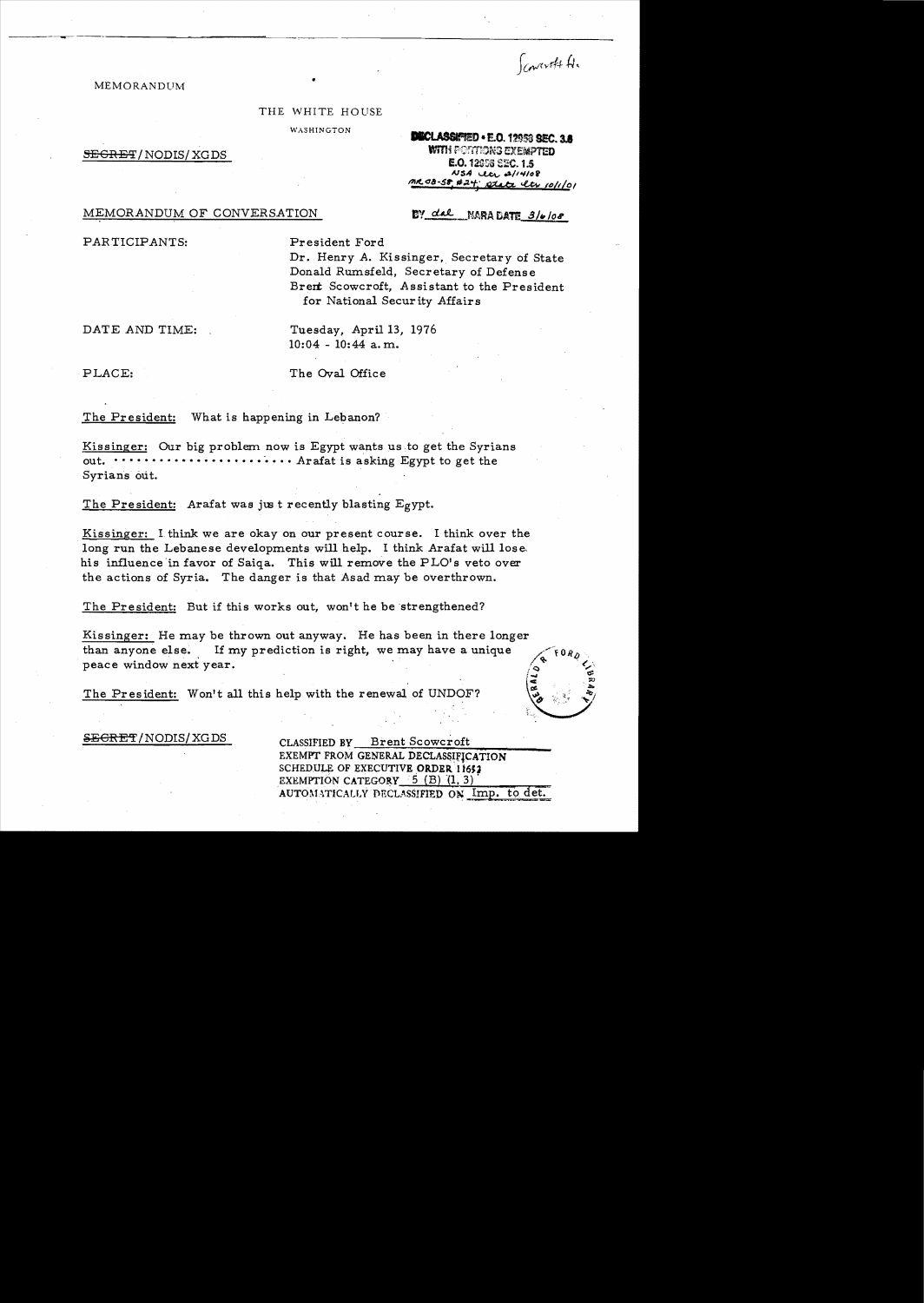Convolt 4.

## **MEMORANDUM**

#### THE WHITE HOUSE

WASHINGTON

 $S_{\rm EGRET/NODIS/XGDS}$ 

**DIECLASSIATED • E.O. 12958 SEC. 3.8**<br>WITH POTATIONS EXEMPTED **E.O. 12958 SEC. 1.5**  $NSA$   $UCl$   $a^{1/4108}$ 1'111(.<18-51; #.21,,' 42¢+4 ..uv *(o/dol* 

DY dal NARA DATE 3/6/08

MEMORANDUM OF CONVERSATION

PAR TICIPANTS: President Ford

Dr. Henry A. Kissinger, Secretary of State Donald Rumsfeld, Secretary of Defense Brent Scowcroft, Assistant to the President for National Security Affairs

DATE AND TIME: Tuesday, April 13, 1976

10:04 - 10:44 a. m.

PLACE: The Oval Office

The President: What is happening in Lebanon?

Kissinger: Our big problem now is Egypt wants us to get the Syrians out.  $\cdots \cdots \cdots \cdots \cdots \cdots$  Arafat is asking Egypt to get the Syrians out.

The President: Arafat was just recently blasting Egypt.

Kissinger: 1 think we are okay on our present course. I think *over* the long run the Lebanese developments will help. I think Arafat will lose, his influence 'in favor of Saiqa. This will remove the PLO's *veto* over the actions of Syria. The danger is that Asad may be overthrown.

The President: But if this works out, won't he be strengthened?

Kissinger: He may be thrown out anyway. He has been in there longer than anyone else. If my prediction is right, we may have a unique peace window next year.

The President: Won't all this help with the renewal of UNDOF?

SEGRET/NODIS/XGDS CLASSIFIED BY Brent Scowcroft EXEMPT FROM GENERAL DECLAS&IfICATION SCHEDULE OF EXECUTIVE ORDER 11652 EXEMPTION CATEGORY  $-5$  (B) (1, 3) AUTOMATICALLY DECLASSIFIED ON Imp. to det.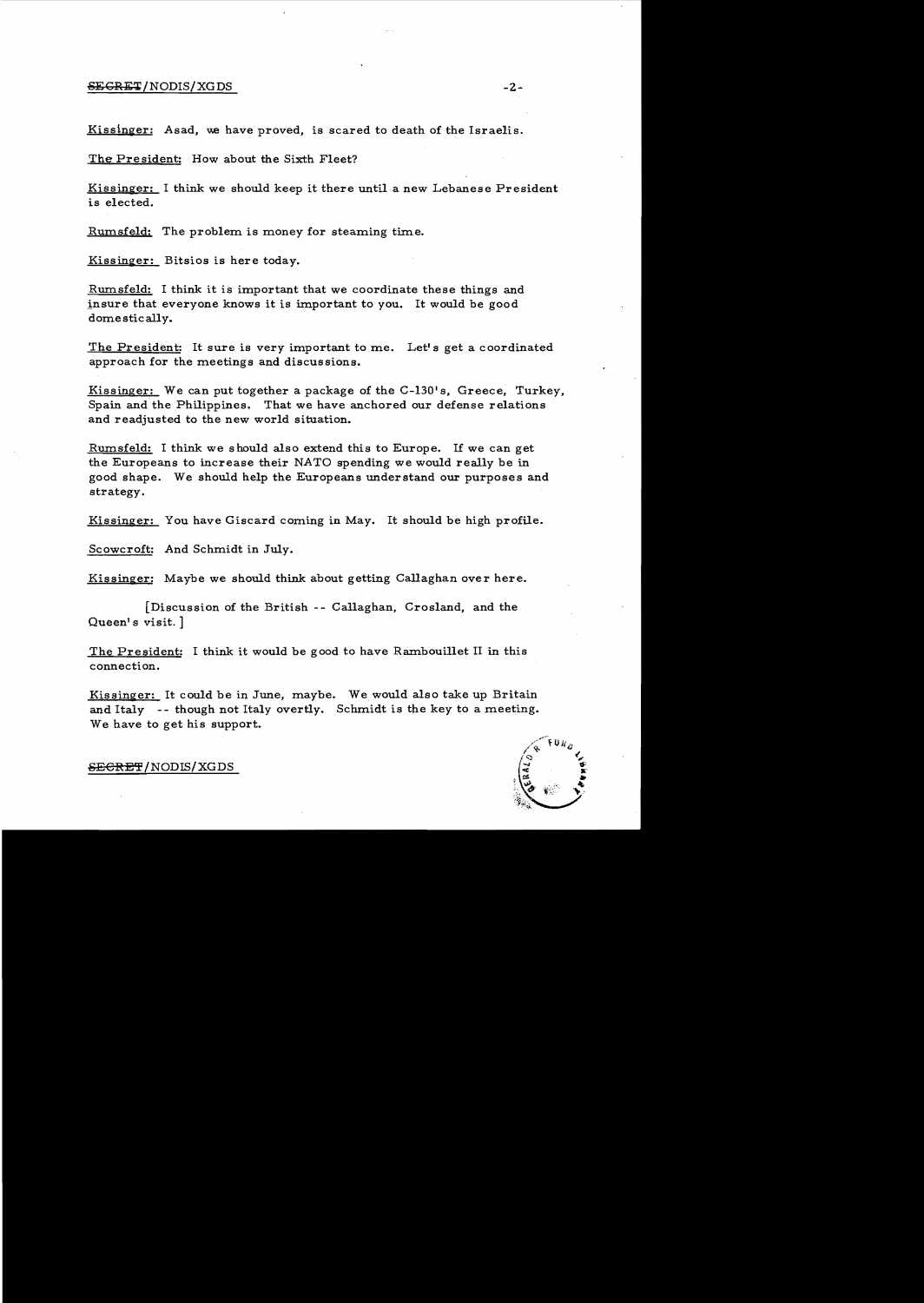### ,sEGR}!;';t*INODIS/XG* DS -2

Kissinger: Asad, we have proved, is scared to death of the Israelis.

The President: How about the Sixth Fleet?

Kissinger: I think we should keep it there until a new Lebanese President is elected.

Rumsfeld: The problem is money for steaming time.

Kissinger: Bitsios is here today.

Rumsfeld: I think it is important that we coordinate these things and insure that everyone knows it is important to you. It would be good domestically.

The President: It sure is very important to me. Let's get a coordinated approach for the meetings and discussions.

Kissinger: We can put together a package of the C-130's, Greece, Turkey, Spain and the Philippines. That we have anchored our defense relations and readjusted to the new world situation.

Rumsfeld: I think we should also extend this to Europe. If we can get the Europeans to increase their NATO spending we would really be in good shape. We should help the Europeans understand our purposes and strategy.

Kissinger: You have Giscard coming in May. It should be high profile.

Scowcroft: And Schmidt in July.

 $Kissinger:$  Maybe we should think about getting Callaghan over here.

[Discussion of the British -- Callaghan, Crosland, and the Queen's visit. ]

The President: I think it would be good to have Rambouillet II in this connection.

Kissinger: It could be in June, maybe. We would also take up Britain and Italy -- though not Italy overtly. Schmidt is the key to a meeting. We have to get his support.

 $\overline{\text{SEEREF}}$ /NODIS/XGDS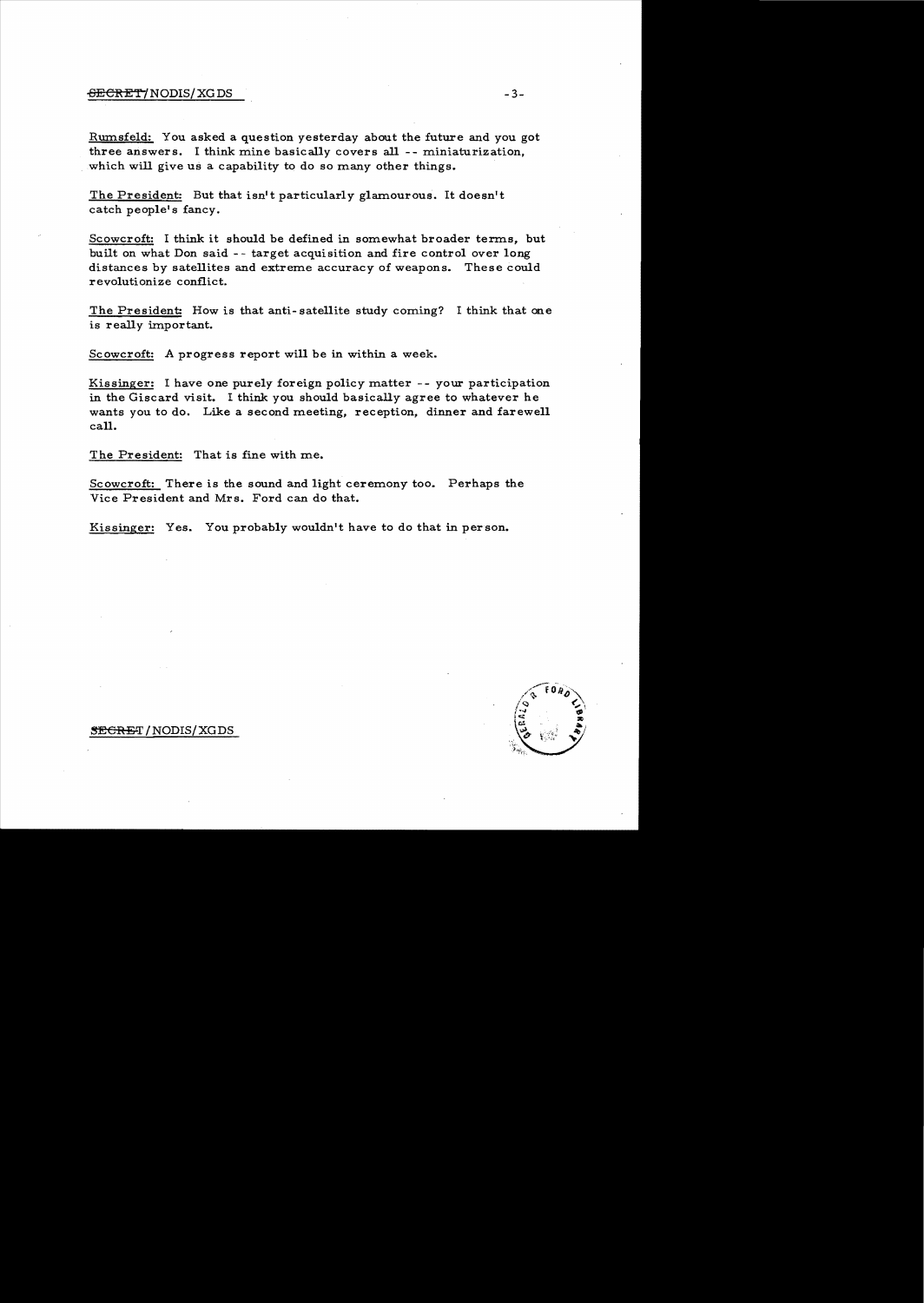Rumsfeld: You asked a question yesterday about the future and you got three answers. I think mine basically covers all -- miniaturization, which will give us a capability to do so many other things.

The President: But that isn't particularly glamourous. It doesn't catch people's fancy.

Scowcroft: I think it should be defined in somewhat broader terms, but built on what Don said - - target acquisition and fire control over long distances by satellites and extreme accuracy of weapons. These could revolutionize conflict.

The President: How is that anti-satellite study coming? I think that one is really important.

Scowcroft: A progress report will be in within a week.

Kissinger: I have one purely foreign policy matter - - your participation in the Giscard visit. I think you should basically agree to whatever he wants you to do. Like a second meeting, reception, dinner and farewell call.

The President: That is fine with me.

Scowcroft: There is the sound and light ceremony too. Perhaps the Vice President and Mrs. Ford can do that.

Kissinger: Yes. You probably wouldn't have to do that in person.

#### **SEGRET/NODIS/XGDS**